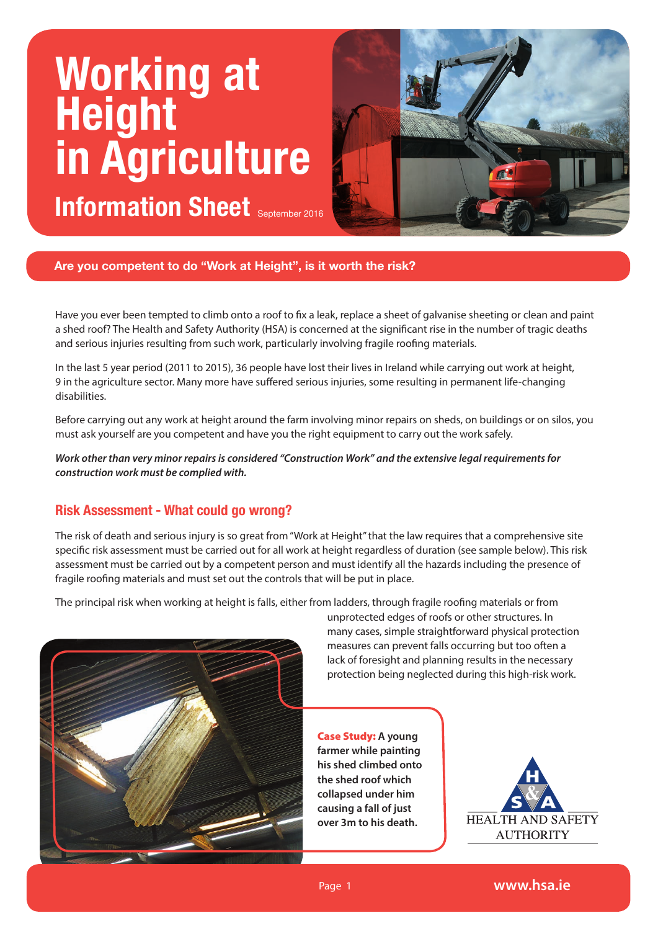# **Working at Height in Agriculture Information Sheet** September 2016



**Are you competent to do "Work at Height", is it worth the risk?**

Have you ever been tempted to climb onto a roof to fix a leak, replace a sheet of galvanise sheeting or clean and paint a shed roof? The Health and Safety Authority (HSA) is concerned at the significant rise in the number of tragic deaths and serious injuries resulting from such work, particularly involving fragile roofing materials.

In the last 5 year period (2011 to 2015), 36 people have lost their lives in Ireland while carrying out work at height, 9 in the agriculture sector. Many more have suffered serious injuries, some resulting in permanent life-changing disabilities.

Before carrying out any work at height around the farm involving minor repairs on sheds, on buildings or on silos, you must ask yourself are you competent and have you the right equipment to carry out the work safely.

*Work other than very minor repairs is considered "Construction Work" and the extensive legal requirements for construction work must be complied with.* 

### **Risk Assessment - What could go wrong?**

The risk of death and serious injury is so great from "Work at Height" that the law requires that a comprehensive site specific risk assessment must be carried out for all work at height regardless of duration (see sample below). This risk assessment must be carried out by a competent person and must identify all the hazards including the presence of fragile roofing materials and must set out the controls that will be put in place.

The principal risk when working at height is falls, either from ladders, through fragile roofing materials or from



unprotected edges of roofs or other structures. In many cases, simple straightforward physical protection measures can prevent falls occurring but too often a lack of foresight and planning results in the necessary protection being neglected during this high-risk work.

Case Study: **A young farmer while painting his shed climbed onto the shed roof which collapsed under him causing a fall of just over 3m to his death.** 

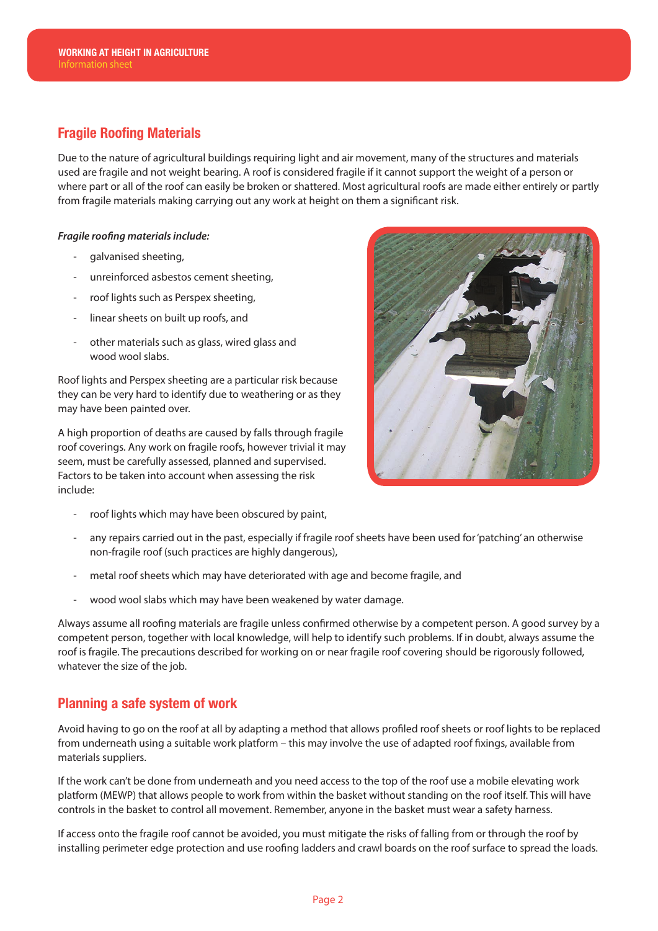# **Fragile Roofing Materials**

Due to the nature of agricultural buildings requiring light and air movement, many of the structures and materials used are fragile and not weight bearing. A roof is considered fragile if it cannot support the weight of a person or where part or all of the roof can easily be broken or shattered. Most agricultural roofs are made either entirely or partly from fragile materials making carrying out any work at height on them a significant risk.

#### *Fragile roofing materials include:*

- galvanised sheeting,
- unreinforced asbestos cement sheeting,
- roof lights such as Perspex sheeting,
- linear sheets on built up roofs, and
- other materials such as glass, wired glass and wood wool slabs.

Roof lights and Perspex sheeting are a particular risk because they can be very hard to identify due to weathering or as they may have been painted over.

A high proportion of deaths are caused by falls through fragile roof coverings. Any work on fragile roofs, however trivial it may seem, must be carefully assessed, planned and supervised. Factors to be taken into account when assessing the risk include:

roof lights which may have been obscured by paint,



- any repairs carried out in the past, especially if fragile roof sheets have been used for 'patching' an otherwise non-fragile roof (such practices are highly dangerous),
- metal roof sheets which may have deteriorated with age and become fragile, and
- wood wool slabs which may have been weakened by water damage.

Always assume all roofing materials are fragile unless confirmed otherwise by a competent person. A good survey by a competent person, together with local knowledge, will help to identify such problems. If in doubt, always assume the roof is fragile. The precautions described for working on or near fragile roof covering should be rigorously followed, whatever the size of the job.

### **Planning a safe system of work**

Avoid having to go on the roof at all by adapting a method that allows profiled roof sheets or roof lights to be replaced from underneath using a suitable work platform – this may involve the use of adapted roof fixings, available from materials suppliers.

If the work can't be done from underneath and you need access to the top of the roof use a mobile elevating work platform (MEWP) that allows people to work from within the basket without standing on the roof itself. This will have controls in the basket to control all movement. Remember, anyone in the basket must wear a safety harness.

If access onto the fragile roof cannot be avoided, you must mitigate the risks of falling from or through the roof by installing perimeter edge protection and use roofing ladders and crawl boards on the roof surface to spread the loads.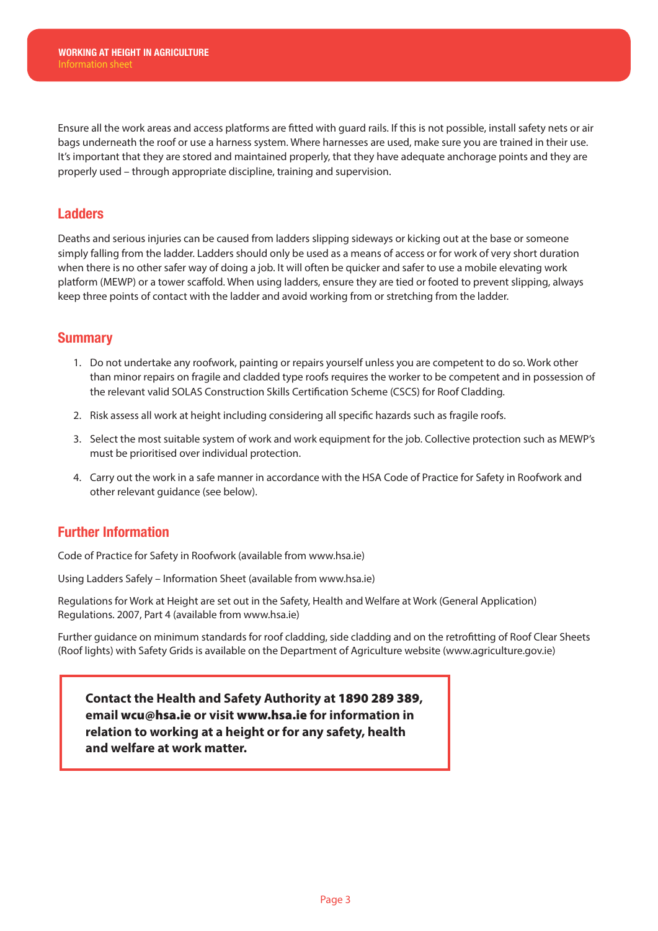Ensure all the work areas and access platforms are fitted with guard rails. If this is not possible, install safety nets or air bags underneath the roof or use a harness system. Where harnesses are used, make sure you are trained in their use. It's important that they are stored and maintained properly, that they have adequate anchorage points and they are properly used – through appropriate discipline, training and supervision.

# **Ladders**

Deaths and serious injuries can be caused from ladders slipping sideways or kicking out at the base or someone simply falling from the ladder. Ladders should only be used as a means of access or for work of very short duration when there is no other safer way of doing a job. It will often be quicker and safer to use a mobile elevating work platform (MEWP) or a tower scaffold. When using ladders, ensure they are tied or footed to prevent slipping, always keep three points of contact with the ladder and avoid working from or stretching from the ladder.

## **Summary**

- 1. Do not undertake any roofwork, painting or repairs yourself unless you are competent to do so. Work other than minor repairs on fragile and cladded type roofs requires the worker to be competent and in possession of the relevant valid SOLAS Construction Skills Certification Scheme (CSCS) for Roof Cladding.
- 2. Risk assess all work at height including considering all specific hazards such as fragile roofs.
- 3. Select the most suitable system of work and work equipment for the job. Collective protection such as MEWP's must be prioritised over individual protection.
- 4. Carry out the work in a safe manner in accordance with the HSA Code of Practice for Safety in Roofwork and other relevant guidance (see below).

### **Further Information**

Code of Practice for Safety in Roofwork (available from www.hsa.ie)

Using Ladders Safely – Information Sheet (available from www.hsa.ie)

Regulations for Work at Height are set out in the Safety, Health and Welfare at Work (General Application) Regulations. 2007, Part 4 (available from www.hsa.ie)

Further guidance on minimum standards for roof cladding, side cladding and on the retrofitting of Roof Clear Sheets (Roof lights) with Safety Grids is available on the Department of Agriculture website (www.agriculture.gov.ie)

 **Contact the Health and Safety Authority at** 1890 289 389**, email** wcu@hsa.ie **or visit** www.hsa.ie **for information in relation to working at a height or for any safety, health and welfare at work matter.**